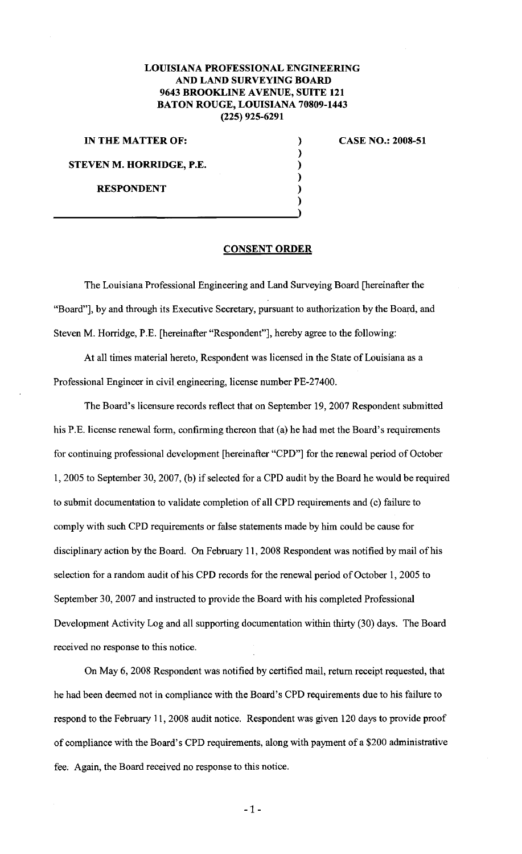## **LOUISIANA PROFESSIONAL ENGINEERING AND LAND SURVEYING BOARD 9643 BROOKLINE AVENUE, SUITE 121 BATON ROUGE, LOUISIANA 70809-1443 (225) 925-6291**

**IN THE MATTER OF:** 

**CASE NO.: 2008-51** 

**STEVEN M. HORRIDGE, P.E.** 

**RESPONDENT** 

## **CONSENT ORDER**

) ) ) ) ) )

The Louisiana Professional Engineering and Land Surveying Board [hereinafter the "Board"], by and through its Executive Secretary, pursuant to authorization by the Board, and Steven M. Horridge, P.E. [hereinafter "Respondent"], hereby agree to the following:

At all times material hereto, Respondent was licensed in the State of Louisiana as a Professional Engineer in civil engineering, license number PE-27400.

The Board's licensure records reflect that on September 19, 2007 Respondent submitted his P.E. license renewal form, confirming thereon that (a) he had met the Board's requirements for continuing professional development [hereinafter "CPD"] for the renewal period of October I, 2005 to September 30, 2007, (b) if selected for a CPD audit by the Board he would be required to submit documentation to validate completion of all CPD requirements and (c) failure to comply with such CPD requirements or false statements made by him could be cause for disciplinary action by the Board. On February II, 2008 Respondent was notified by mail of his selection for a random audit of his CPD records for the renewal period of October I, 2005 to September 30, 2007 and instructed to provide the Board with his completed Professional Development Activity Log and all supporting documentation within thirty (30) days. The Board received no response to this notice.

On May 6, 2008 Respondent was notified by certified mail, return receipt requested, that he had been deemed not in compliance with the Board's CPD requirements due to his failure to respond to the February II, 2008 audit notice. Respondent was given 120 days to provide proof of compliance with the Board's CPD requirements, along with payment of a \$200 administrative fee; Again, the Board received no response to this notice.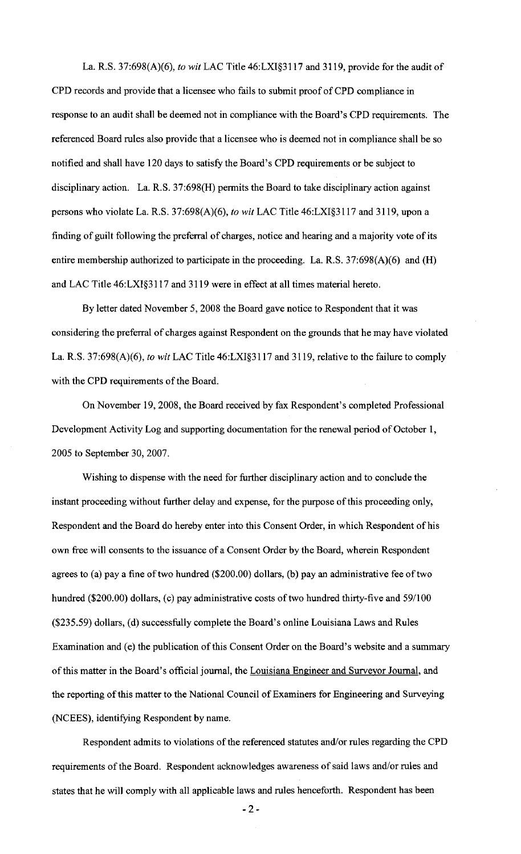La. R.S. 37:698(A)(6), *to wit* LAC Title 46:LX1§3117 and 3119, provide for the audit of CPD records and provide that a licensee who fails to submit proof of CPD compliance in response to an audit shall be deemed not in compliance with the Board's CPD requirements. The referenced Board rules also provide that a licensee who is deemed not in compliance shall be so notified and shall have 120 days to satisfy the Board's CPD requirements or be subject to disciplinary action. La. R.S. 37:698(H) permits the Board to take disciplinary action against persons who violate La. R.S. 37:698(A)(6), *to wit* LAC Title 46:LXI§3117 and 3119, upon a finding of guilt following the preferral of charges, notice and hearing and a majority vote of its entire membership authorized to participate in the proceeding. La. R.S. 37:698(A)(6) and (H) and LAC Title 46:LX1§3117 and 3119 were in effect at all times material hereto.

By letter dated November 5, 2008 the Board gave notice to Respondent that it was considering the preferral of charges against Respondent on the grounds that he may have violated La. R.S. 37:698(A)(6), *to wit* LAC Title 46:LXI§3117 and 3119, relative to the failure to comply with the CPD requirements of the Board.

On November 19,2008, the Board received by fax Respondent's completed Professional Development Activity Log and supporting documentation for the renewal period of October 1, 2005 to September 30, 2007.

Wishing to dispense with the need for further disciplinary action and to conclude the instant proceeding without further delay and expense, for the purpose of this proceeding only, Respondent and the Board do hereby enter into this Consent Order, in which Respondent of his own free will consents to the issuance of a Consent Order by the Board, wherein Respondent agrees to (a) pay a fine of two hundred (\$200.00) dollars, (b) pay an administrative fee of two hundred (\$200.00) dollars, (c) pay administrative costs of two hundred thirty-five and 59/100 (\$235.59) dollars, (d) successfully complete the Board's online Louisiana Laws and Rules Examination and (e) the publication of this Consent Order on the Board's website and a summary of this matter in the Board's official journal, the Louisiana Engineer and Surveyor Journal, and the reporting of this matter to the National Council of Examiners for Engineering and Surveying (NCEES), identifying Respondent by name.

Respondent admits to violations of the referenced statutes and/or rules regarding the CPD requirements of the Board. Respondent acknowledges awareness of said laws and/or rules and states that he will comply with all applicable laws and rules henceforth. Respondent has been

-2-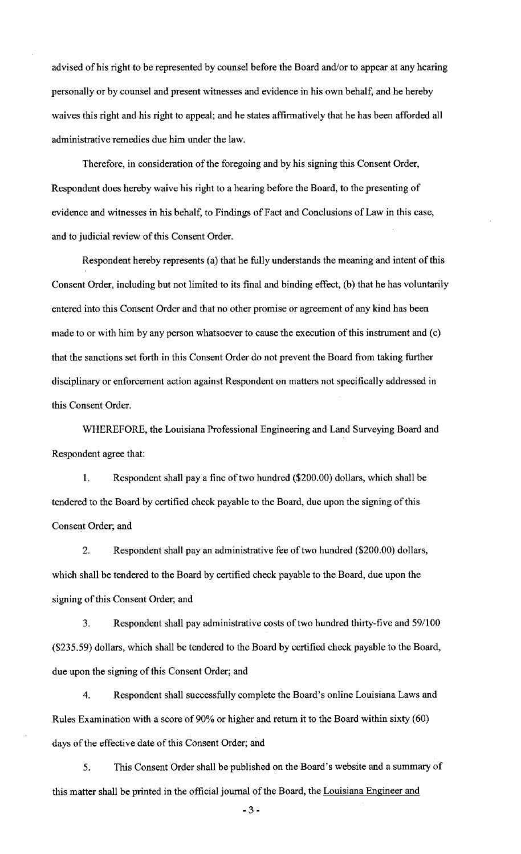advised of his right to be represented by counsel before the Board and/or to appear at any hearing personally or by counsel and present witnesses and evidence in his own behalf, and he hereby waives this right and his right to appeal; and he states affirmatively that he has been afforded all administrative remedies due him under the law.

Therefore, in consideration of the foregoing and by his signing this Consent Order, Respondent does hereby waive his right to a hearing before the Board, to the presenting of evidence and witnesses in his behalf, to Findings of Fact and Conclusions of Law in this case, and to judicial review of this Consent Order.

Respondent hereby represents (a) that he fully understands the meaning and intent of this Consent Order, including but not limited to its final and binding effect, (b) that he has voluntarily entered into this Consent Order and that no other promise or agreement of any kind has been made to or with him by any person whatsoever to cause the execution of this instrument and (c) that the sanctions set forth in this Consent Order do not prevent the Board from taking further disciplinary or enforcement action against Respondent on matters not specifically addressed in this Consent Order.

WHEREFORE, the Louisiana Professional Engineering and Land Surveying Board and Respondent agree that:

I. Respondent shall pay a fine of two hundred (\$200.00) dollars, which shall be tendered to the Board by certified check payable to the Board, due upon the signing of this Consent Order; and

2. Respondent shall pay an administrative fee of two hundred (\$200.00) dollars, which shall be tendered to the Board by certified check payable to the Board, due upon the signing of this Consent Order; and

3. Respondent shall pay administrative costs of two hundred thirty-five and 59/100 (\$235.59) dollars, which shall be tendered to the Board by certified check payable to the Board, due upon the signing of this Consent Order; and

4. Respondent shall successfully complete the Board's online Louisiana Laws and Rules Examination with a score of 90% or higher and return it to the Board within sixty (60) days of the effective date of this Consent Order; and

5. This Consent Order shall be published on the Board's website and a summary of this matter shall be printed in the official journal of the Board, the Louisiana Engineer and

-3-